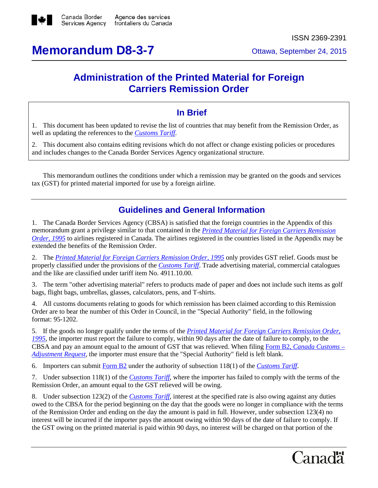

# **Memorandum D8-3-7** Ottawa, September 24, 2015

## **Administration of the Printed Material for Foreign Carriers Remission Order**

#### **In Brief**

1. This document has been updated to revise the list of countries that may benefit from the Remission Order, as well as updating the references to the *[Customs Tariff](http://www.cbsa-asfc.gc.ca/trade-commerce/tariff-tarif/)*.

2. This document also contains editing revisions which do not affect or change existing policies or procedures and includes changes to the Canada Border Services Agency organizational structure.

This memorandum outlines the conditions under which a remission may be granted on the goods and services tax (GST) for printed material imported for use by a foreign airline.

#### **Guidelines and General Information**

1. The Canada Border Services Agency (CBSA) is satisfied that the foreign countries in the Appendix of this memorandum grant a privilege similar to that contained in the *[Printed Material for Foreign Carriers Remission](http://laws-lois.justice.gc.ca/eng/regulations/SOR-95-360/FullText.html)  [Order, 1995](http://laws-lois.justice.gc.ca/eng/regulations/SOR-95-360/FullText.html)* to airlines registered in Canada. The airlines registered in the countries listed in the Appendix may be extended the benefits of the Remission Order.

2. The *[Printed Material for Foreign Carriers Remission Order, 1995](http://laws-lois.justice.gc.ca/eng/regulations/SOR-95-360/FullText.html)* only provides GST relief. Goods must be properly classified under the provisions of the *[Customs Tariff](http://www.cbsa-asfc.gc.ca/trade-commerce/tariff-tarif/)*. Trade advertising material, commercial catalogues and the like are classified under tariff item No. 4911.10.00.

3. The term "other advertising material" refers to products made of paper and does not include such items as golf bags, flight bags, umbrellas, glasses, calculators, pens, and T-shirts.

4. All customs documents relating to goods for which remission has been claimed according to this Remission Order are to bear the number of this Order in Council, in the "Special Authority" field, in the following format: 95-1202.

5. If the goods no longer qualify under the terms of the *[Printed Material for Foreign Carriers Remission Order,](http://laws-lois.justice.gc.ca/eng/regulations/SOR-95-360/FullText.html)  [1995,](http://laws-lois.justice.gc.ca/eng/regulations/SOR-95-360/FullText.html)* the importer must report the failure to comply, within 90 days after the date of failure to comply, to the CBSA and pay an amount equal to the amount of GST that was relieved. When filing Form B2, *[Canada Customs –](http://www.cbsa-asfc.gc.ca/publications/forms-formulaires/b2-eng.html) [Adjustment Request](http://www.cbsa-asfc.gc.ca/publications/forms-formulaires/b2-eng.html)*, the importer must ensure that the "Special Authority" field is left blank.

6. Importers can submit [Form B2](http://www.cbsa-asfc.gc.ca/publications/forms-formulaires/b2-eng.html) under the authority of subsection 118(1) of the *[Customs Tariff](http://www.cbsa-asfc.gc.ca/trade-commerce/tariff-tarif/)*.

7. Under subsection 118(1) of the *[Customs Tariff](http://www.cbsa-asfc.gc.ca/trade-commerce/tariff-tarif/)*, where the importer has failed to comply with the terms of the Remission Order, an amount equal to the GST relieved will be owing.

8. Under subsection 123(2) of the *[Customs Tariff](http://www.cbsa-asfc.gc.ca/trade-commerce/tariff-tarif/)*, interest at the specified rate is also owing against any duties owed to the CBSA for the period beginning on the day that the goods were no longer in compliance with the terms of the Remission Order and ending on the day the amount is paid in full. However, under subsection 123(4) no interest will be incurred if the importer pays the amount owing within 90 days of the date of failure to comply. If the GST owing on the printed material is paid within 90 days, no interest will be charged on that portion of the

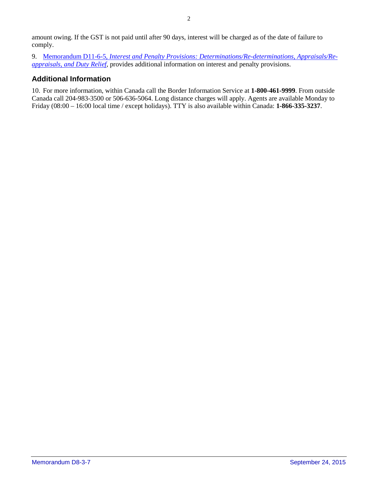amount owing. If the GST is not paid until after 90 days, interest will be charged as of the date of failure to comply.

9. Memorandum D11-6-5, *[Interest and Penalty Provisions: Determinations/Re-determinations, Appraisals/Re](http://www.cbsa-asfc.gc.ca/publications/dm-md/d11/d11-6-5-eng.html)[appraisals, and Duty Relief](http://www.cbsa-asfc.gc.ca/publications/dm-md/d11/d11-6-5-eng.html)*, provides additional information on interest and penalty provisions.

#### **Additional Information**

10. For more information, within Canada call the Border Information Service at **1-800-461-9999**. From outside Canada call 204-983-3500 or 506-636-5064. Long distance charges will apply. Agents are available Monday to Friday (08:00 – 16:00 local time / except holidays). TTY is also available within Canada: **1-866-335-3237**.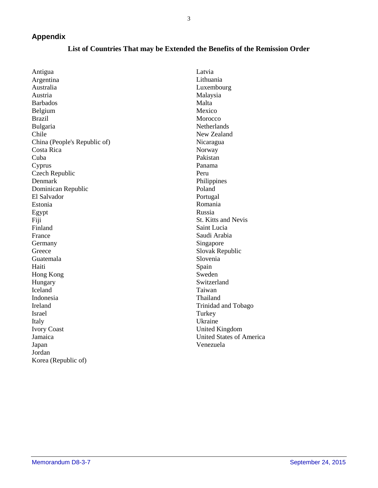3

#### **Appendix**

| Antigua                      | Latvia                          |
|------------------------------|---------------------------------|
| Argentina                    | Lithuania                       |
| Australia                    | Luxembourg                      |
| Austria                      | Malaysia                        |
| Barbados                     | Malta                           |
| Belgium                      | Mexico                          |
| Brazil                       | Morocco                         |
| Bulgaria                     | Netherlands                     |
| Chile                        | New Zealand                     |
| China (People's Republic of) | Nicaragua                       |
| Costa Rica                   | Norway                          |
| Cuba                         | Pakistan                        |
| Cyprus                       | Panama                          |
| Czech Republic               | Peru                            |
| Denmark                      | Philippines                     |
| Dominican Republic           | Poland                          |
| El Salvador                  | Portugal                        |
| Estonia                      | Romania                         |
| Egypt                        | Russia                          |
| Fiji                         | St. Kitts and Nevis             |
| Finland                      | Saint Lucia                     |
| France                       | Saudi Arabia                    |
| Germany                      | Singapore                       |
| Greece                       | Slovak Republic                 |
| Guatemala                    | Slovenia                        |
| Haiti                        | Spain                           |
| Hong Kong                    | Sweden                          |
| Hungary                      | Switzerland                     |
| Iceland                      | Taiwan                          |
| Indonesia                    | Thailand                        |
| Ireland                      | Trinidad and Tobago             |
| Israel                       | Turkey                          |
| Italy                        | Ukraine                         |
| <b>Ivory Coast</b>           | <b>United Kingdom</b>           |
| Jamaica                      | <b>United States of America</b> |
| Japan                        | Venezuela                       |
| Jordan                       |                                 |
|                              |                                 |

### **List of Countries That may be Extended the Benefits of the Remission Order**

Korea (Republic of)